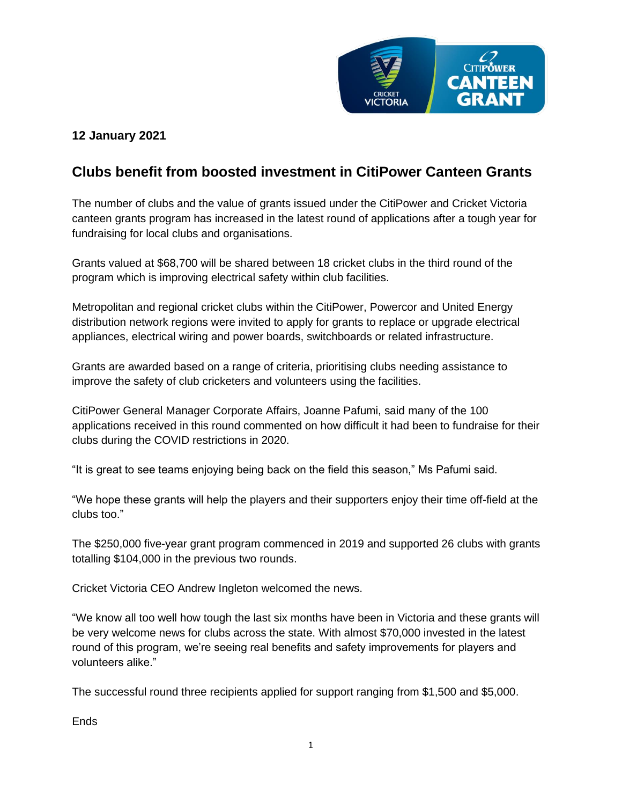

## **12 January 2021**

## **Clubs benefit from boosted investment in CitiPower Canteen Grants**

The number of clubs and the value of grants issued under the CitiPower and Cricket Victoria canteen grants program has increased in the latest round of applications after a tough year for fundraising for local clubs and organisations.

Grants valued at \$68,700 will be shared between 18 cricket clubs in the third round of the program which is improving electrical safety within club facilities.

Metropolitan and regional cricket clubs within the CitiPower, Powercor and United Energy distribution network regions were invited to apply for grants to replace or upgrade electrical appliances, electrical wiring and power boards, switchboards or related infrastructure.

Grants are awarded based on a range of criteria, prioritising clubs needing assistance to improve the safety of club cricketers and volunteers using the facilities.

CitiPower General Manager Corporate Affairs, Joanne Pafumi, said many of the 100 applications received in this round commented on how difficult it had been to fundraise for their clubs during the COVID restrictions in 2020.

"It is great to see teams enjoying being back on the field this season," Ms Pafumi said.

"We hope these grants will help the players and their supporters enjoy their time off-field at the clubs too."

The \$250,000 five-year grant program commenced in 2019 and supported 26 clubs with grants totalling \$104,000 in the previous two rounds.

Cricket Victoria CEO Andrew Ingleton welcomed the news.

"We know all too well how tough the last six months have been in Victoria and these grants will be very welcome news for clubs across the state. With almost \$70,000 invested in the latest round of this program, we're seeing real benefits and safety improvements for players and volunteers alike."

The successful round three recipients applied for support ranging from \$1,500 and \$5,000.

**Ends**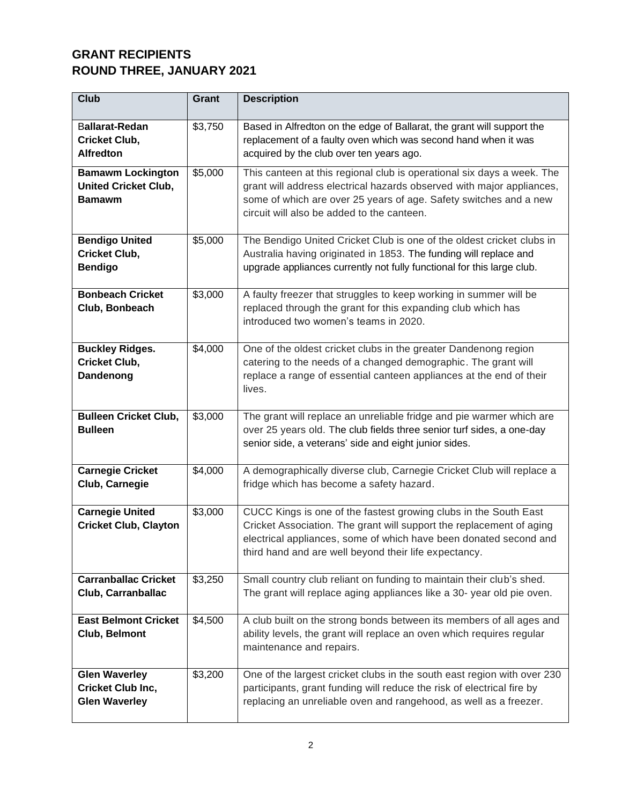## **GRANT RECIPIENTS ROUND THREE, JANUARY 2021**

| <b>Club</b>                                                              | Grant   | <b>Description</b>                                                                                                                                                                                                                                                     |
|--------------------------------------------------------------------------|---------|------------------------------------------------------------------------------------------------------------------------------------------------------------------------------------------------------------------------------------------------------------------------|
| <b>Ballarat-Redan</b><br><b>Cricket Club,</b><br><b>Alfredton</b>        | \$3,750 | Based in Alfredton on the edge of Ballarat, the grant will support the<br>replacement of a faulty oven which was second hand when it was<br>acquired by the club over ten years ago.                                                                                   |
| <b>Bamawm Lockington</b><br><b>United Cricket Club,</b><br><b>Bamawm</b> | \$5,000 | This canteen at this regional club is operational six days a week. The<br>grant will address electrical hazards observed with major appliances,<br>some of which are over 25 years of age. Safety switches and a new<br>circuit will also be added to the canteen.     |
| <b>Bendigo United</b><br><b>Cricket Club,</b><br><b>Bendigo</b>          | \$5,000 | The Bendigo United Cricket Club is one of the oldest cricket clubs in<br>Australia having originated in 1853. The funding will replace and<br>upgrade appliances currently not fully functional for this large club.                                                   |
| <b>Bonbeach Cricket</b><br>Club, Bonbeach                                | \$3,000 | A faulty freezer that struggles to keep working in summer will be<br>replaced through the grant for this expanding club which has<br>introduced two women's teams in 2020.                                                                                             |
| <b>Buckley Ridges.</b><br><b>Cricket Club,</b><br>Dandenong              | \$4,000 | One of the oldest cricket clubs in the greater Dandenong region<br>catering to the needs of a changed demographic. The grant will<br>replace a range of essential canteen appliances at the end of their<br>lives.                                                     |
| <b>Bulleen Cricket Club,</b><br><b>Bulleen</b>                           | \$3,000 | The grant will replace an unreliable fridge and pie warmer which are<br>over 25 years old. The club fields three senior turf sides, a one-day<br>senior side, a veterans' side and eight junior sides.                                                                 |
| <b>Carnegie Cricket</b><br>Club, Carnegie                                | \$4,000 | A demographically diverse club, Carnegie Cricket Club will replace a<br>fridge which has become a safety hazard.                                                                                                                                                       |
| <b>Carnegie United</b><br><b>Cricket Club, Clayton</b>                   | \$3,000 | CUCC Kings is one of the fastest growing clubs in the South East<br>Cricket Association. The grant will support the replacement of aging<br>electrical appliances, some of which have been donated second and<br>third hand and are well beyond their life expectancy. |
| <b>Carranballac Cricket</b><br>Club, Carranballac                        | \$3,250 | Small country club reliant on funding to maintain their club's shed.<br>The grant will replace aging appliances like a 30- year old pie oven.                                                                                                                          |
| <b>East Belmont Cricket</b><br>Club, Belmont                             | \$4,500 | A club built on the strong bonds between its members of all ages and<br>ability levels, the grant will replace an oven which requires regular<br>maintenance and repairs.                                                                                              |
| <b>Glen Waverley</b><br>Cricket Club Inc,<br><b>Glen Waverley</b>        | \$3,200 | One of the largest cricket clubs in the south east region with over 230<br>participants, grant funding will reduce the risk of electrical fire by<br>replacing an unreliable oven and rangehood, as well as a freezer.                                                 |